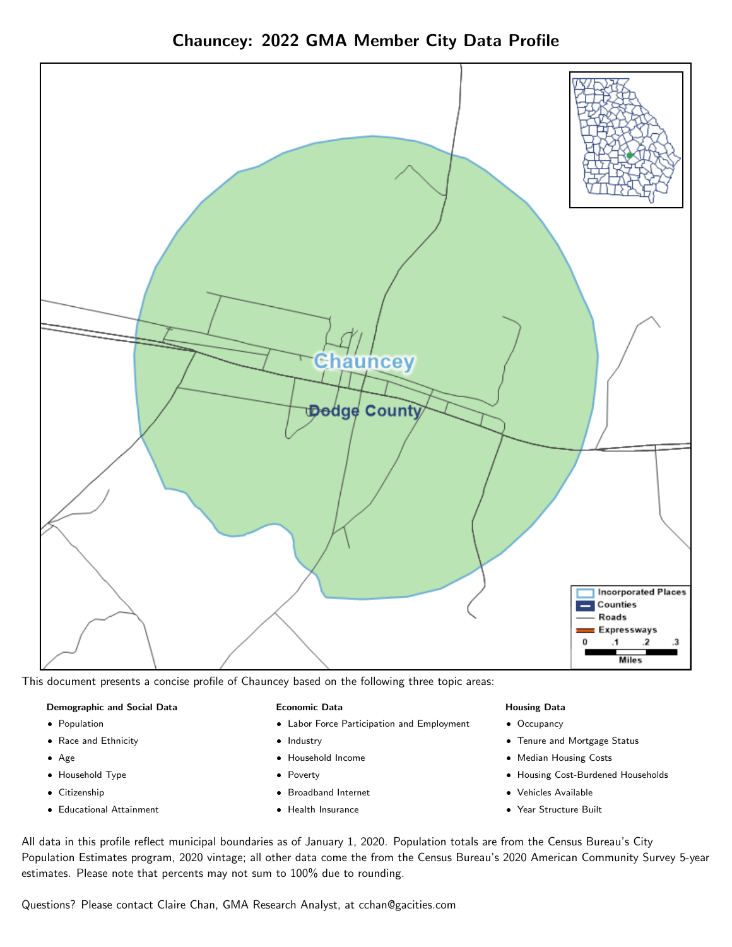Chauncey: 2022 GMA Member City Data Profile



This document presents a concise profile of Chauncey based on the following three topic areas:

#### Demographic and Social Data

- **•** Population
- Race and Ethnicity
- Age
- Household Type
- **Citizenship**
- Educational Attainment

#### Economic Data

- Labor Force Participation and Employment
- Industry
- Household Income
- Poverty
- Broadband Internet
- Health Insurance

#### Housing Data

- Occupancy
- Tenure and Mortgage Status
- Median Housing Costs
- Housing Cost-Burdened Households
- Vehicles Available
- Year Structure Built

All data in this profile reflect municipal boundaries as of January 1, 2020. Population totals are from the Census Bureau's City Population Estimates program, 2020 vintage; all other data come the from the Census Bureau's 2020 American Community Survey 5-year estimates. Please note that percents may not sum to 100% due to rounding.

Questions? Please contact Claire Chan, GMA Research Analyst, at [cchan@gacities.com.](mailto:cchan@gacities.com)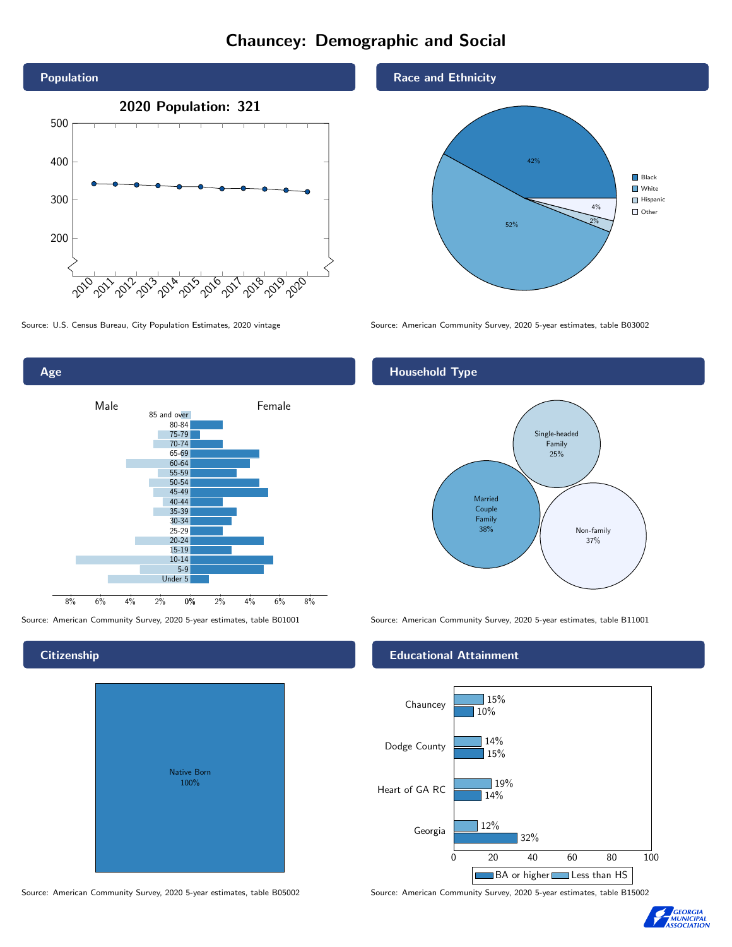#### Chauncey: Demographic and Social





**Citizenship** 

# Native Born 100%

#### Race and Ethnicity



Source: U.S. Census Bureau, City Population Estimates, 2020 vintage Source: American Community Survey, 2020 5-year estimates, table B03002

#### Household Type



Source: American Community Survey, 2020 5-year estimates, table B01001 Source: American Community Survey, 2020 5-year estimates, table B11001

#### Educational Attainment



Source: American Community Survey, 2020 5-year estimates, table B05002 Source: American Community Survey, 2020 5-year estimates, table B15002

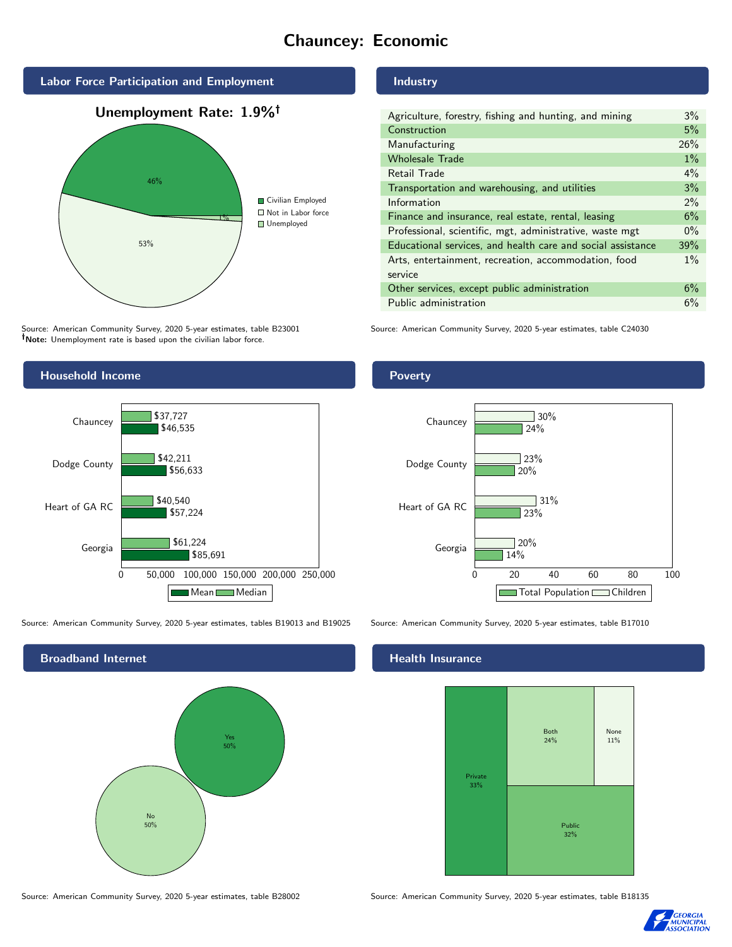### Chauncey: Economic



Source: American Community Survey, 2020 5-year estimates, table B23001 Note: Unemployment rate is based upon the civilian labor force.

#### **Industry**

| Agriculture, forestry, fishing and hunting, and mining      | 3%    |
|-------------------------------------------------------------|-------|
| Construction                                                | 5%    |
| Manufacturing                                               | 26%   |
| <b>Wholesale Trade</b>                                      | $1\%$ |
| Retail Trade                                                | $4\%$ |
| Transportation and warehousing, and utilities               | 3%    |
| Information                                                 | 2%    |
| Finance and insurance, real estate, rental, leasing         | 6%    |
| Professional, scientific, mgt, administrative, waste mgt    | $0\%$ |
| Educational services, and health care and social assistance | 39%   |
| Arts, entertainment, recreation, accommodation, food        | $1\%$ |
| service                                                     |       |
| Other services, except public administration                | 6%    |
| Public administration                                       | 6%    |

Source: American Community Survey, 2020 5-year estimates, table C24030



Source: American Community Survey, 2020 5-year estimates, tables B19013 and B19025 Source: American Community Survey, 2020 5-year estimates, table B17010

Broadband Internet No 50% Yes 50%

#### Health Insurance



Source: American Community Survey, 2020 5-year estimates, table B28002 Source: American Community Survey, 2020 5-year estimates, table B18135



#### Poverty